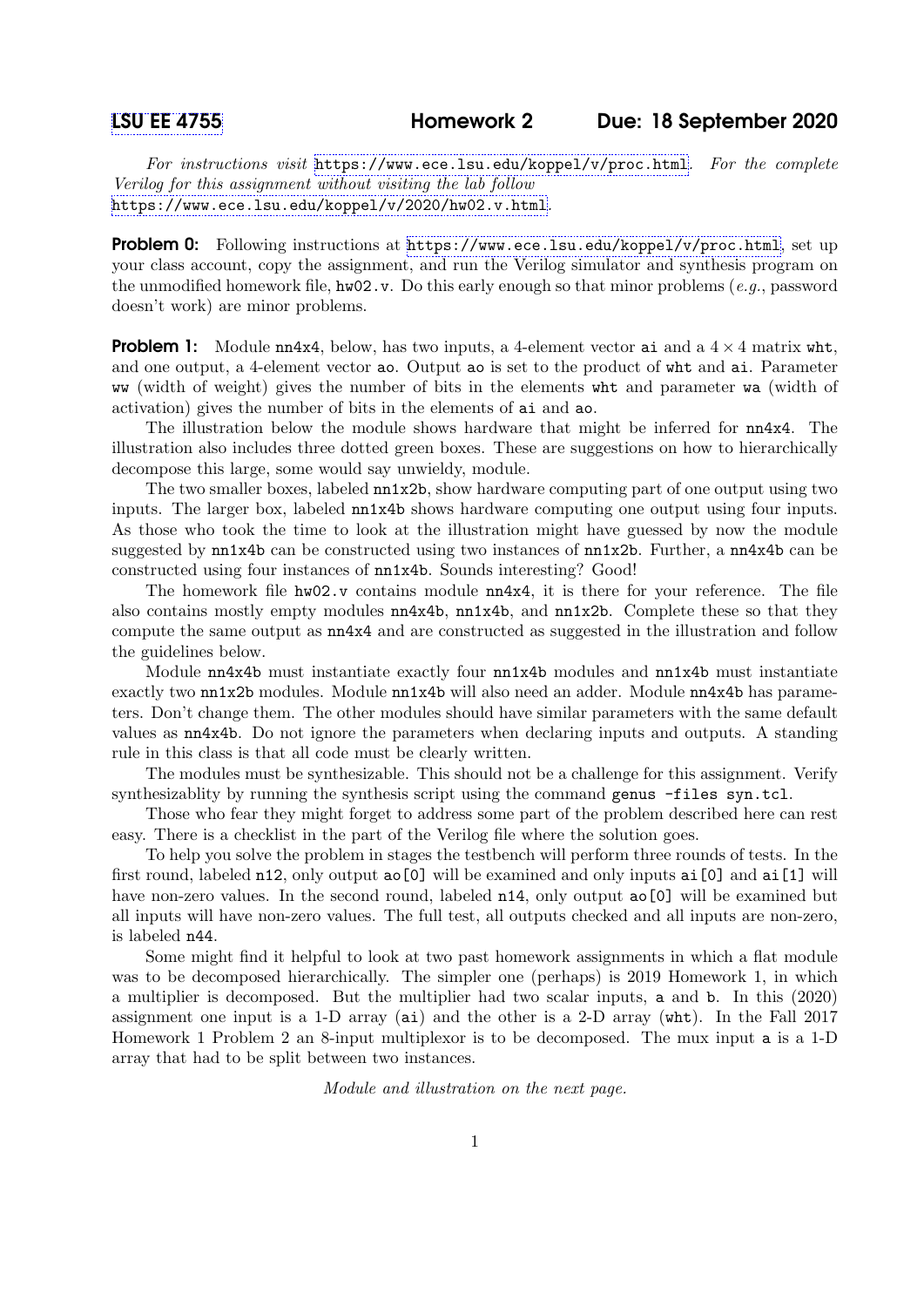For instructions visit <https://www.ece.lsu.edu/koppel/v/proc.html>. For the complete Verilog for this assignment without visiting the lab follow <https://www.ece.lsu.edu/koppel/v/2020/hw02.v.html>.

Problem 0: Following instructions at <https://www.ece.lsu.edu/koppel/v/proc.html>, set up your class account, copy the assignment, and run the Verilog simulator and synthesis program on the unmodified homework file,  $hw02.v$ . Do this early enough so that minor problems (e.g., password doesn't work) are minor problems.

**Problem 1:** Module  $nn4x4$ , below, has two inputs, a 4-element vector ai and a  $4 \times 4$  matrix wht, and one output, a 4-element vector ao. Output ao is set to the product of wht and ai. Parameter ww (width of weight) gives the number of bits in the elements wht and parameter wa (width of activation) gives the number of bits in the elements of ai and ao.

The illustration below the module shows hardware that might be inferred for nn4x4. The illustration also includes three dotted green boxes. These are suggestions on how to hierarchically decompose this large, some would say unwieldy, module.

The two smaller boxes, labeled  $nn1x2b$ , show hardware computing part of one output using two inputs. The larger box, labeled nn1x4b shows hardware computing one output using four inputs. As those who took the time to look at the illustration might have guessed by now the module suggested by nn1x4b can be constructed using two instances of nn1x2b. Further, a nn4x4b can be constructed using four instances of nn1x4b. Sounds interesting? Good!

The homework file hw02.v contains module nn4x4, it is there for your reference. The file also contains mostly empty modules nn4x4b, nn1x4b, and nn1x2b. Complete these so that they compute the same output as nn4x4 and are constructed as suggested in the illustration and follow the guidelines below.

Module nn4x4b must instantiate exactly four nn1x4b modules and nn1x4b must instantiate exactly two nn1x2b modules. Module nn1x4b will also need an adder. Module nn4x4b has parameters. Don't change them. The other modules should have similar parameters with the same default values as nn4x4b. Do not ignore the parameters when declaring inputs and outputs. A standing rule in this class is that all code must be clearly written.

The modules must be synthesizable. This should not be a challenge for this assignment. Verify synthesizablity by running the synthesis script using the command genus -files syn.tcl.

Those who fear they might forget to address some part of the problem described here can rest easy. There is a checklist in the part of the Verilog file where the solution goes.

To help you solve the problem in stages the testbench will perform three rounds of tests. In the first round, labeled n12, only output ao[0] will be examined and only inputs ai[0] and ai[1] will have non-zero values. In the second round, labeled n14, only output ao [0] will be examined but all inputs will have non-zero values. The full test, all outputs checked and all inputs are non-zero, is labeled n44.

Some might find it helpful to look at two past homework assignments in which a flat module was to be decomposed hierarchically. The simpler one (perhaps) is 2019 Homework 1, in which a multiplier is decomposed. But the multiplier had two scalar inputs, a and b. In this (2020) assignment one input is a 1-D array (ai) and the other is a 2-D array (wht). In the Fall 2017 Homework 1 Problem 2 an 8-input multiplexor is to be decomposed. The mux input a is a 1-D array that had to be split between two instances.

Module and illustration on the next page.